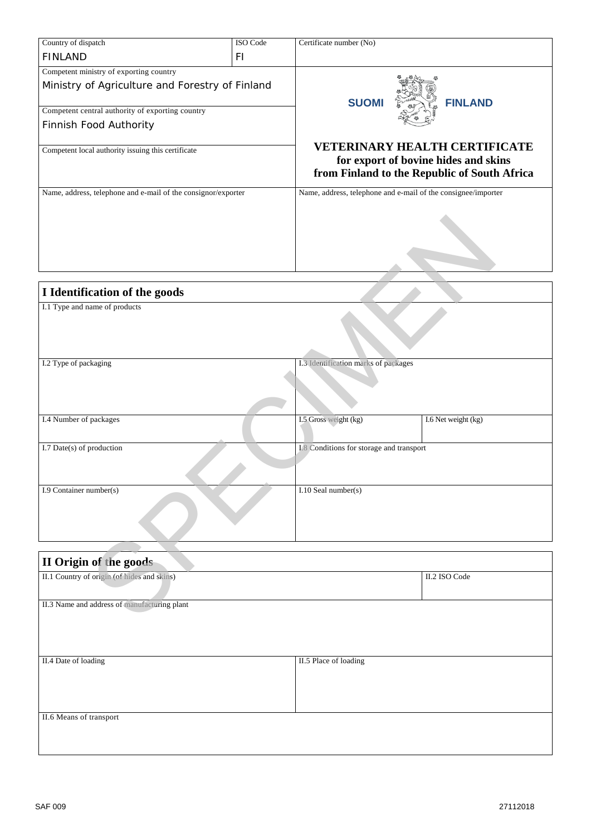| Country of dispatch                                           | ISO Code | Certificate number (No)                                                                                                      |  |
|---------------------------------------------------------------|----------|------------------------------------------------------------------------------------------------------------------------------|--|
| <b>FINLAND</b>                                                | FI       |                                                                                                                              |  |
| Competent ministry of exporting country                       |          |                                                                                                                              |  |
| Ministry of Agriculture and Forestry of Finland               |          | <b>FINLAND</b><br><b>SUOM</b>                                                                                                |  |
| Competent central authority of exporting country              |          |                                                                                                                              |  |
| Finnish Food Authority                                        |          |                                                                                                                              |  |
| Competent local authority issuing this certificate            |          | <b>VETERINARY HEALTH CERTIFICATE</b><br>for export of bovine hides and skins<br>from Finland to the Republic of South Africa |  |
| Name, address, telephone and e-mail of the consignor/exporter |          | Name, address, telephone and e-mail of the consignee/importer                                                                |  |
|                                                               |          |                                                                                                                              |  |

## **I Identification of the goods**

| I Identification of the goods                |                                          |                     |
|----------------------------------------------|------------------------------------------|---------------------|
| I.1 Type and name of products                |                                          |                     |
| I.2 Type of packaging                        | I.3 Identification marks of packages     |                     |
| I.4 Number of packages                       | I.5 Gross weight (kg)                    | I.6 Net weight (kg) |
| I.7 Date(s) of production                    | I.8 Conditions for storage and transport |                     |
| I.9 Container number(s)                      | I.10 Seal number(s)                      |                     |
|                                              |                                          |                     |
| II Origin of the goods                       |                                          |                     |
| II.1 Country of origin (of hides and skins)  |                                          | II.2 ISO Code       |
| II.3 Name and address of manufacturing plant |                                          |                     |

## **II Origin of the goods**

| II OTISIL OF THE SOUTH                       |                       |               |  |  |
|----------------------------------------------|-----------------------|---------------|--|--|
| II.1 Country of origin (of hides and skins)  |                       | II.2 ISO Code |  |  |
| II.3 Name and address of manufacturing plant |                       |               |  |  |
| II.4 Date of loading                         | II.5 Place of loading |               |  |  |
| II.6 Means of transport                      |                       |               |  |  |